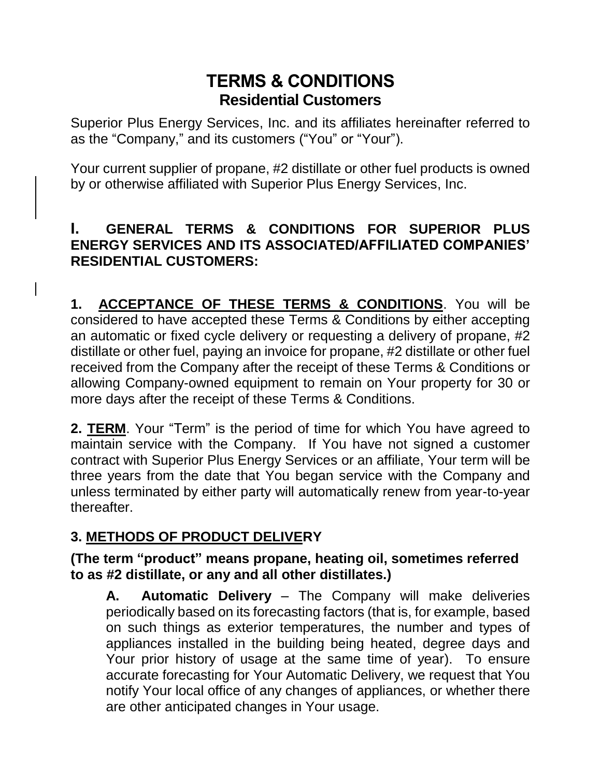# **TERMS & CONDITIONS Residential Customers**

Superior Plus Energy Services, Inc. and its affiliates hereinafter referred to as the "Company," and its customers ("You" or "Your").

Your current supplier of propane, #2 distillate or other fuel products is owned by or otherwise affiliated with Superior Plus Energy Services, Inc.

#### **I. GENERAL TERMS & CONDITIONS FOR SUPERIOR PLUS ENERGY SERVICES AND ITS ASSOCIATED/AFFILIATED COMPANIES' RESIDENTIAL CUSTOMERS:**

**1. ACCEPTANCE OF THESE TERMS & CONDITIONS**. You will be considered to have accepted these Terms & Conditions by either accepting an automatic or fixed cycle delivery or requesting a delivery of propane, #2 distillate or other fuel, paying an invoice for propane, #2 distillate or other fuel received from the Company after the receipt of these Terms & Conditions or allowing Company-owned equipment to remain on Your property for 30 or more days after the receipt of these Terms & Conditions.

**2. TERM**. Your "Term" is the period of time for which You have agreed to maintain service with the Company. If You have not signed a customer contract with Superior Plus Energy Services or an affiliate, Your term will be three years from the date that You began service with the Company and unless terminated by either party will automatically renew from year-to-year thereafter.

# **3. METHODS OF PRODUCT DELIVERY**

#### **(The term "product" means propane, heating oil, sometimes referred to as #2 distillate, or any and all other distillates.)**

**A. Automatic Delivery** – The Company will make deliveries periodically based on its forecasting factors (that is, for example, based on such things as exterior temperatures, the number and types of appliances installed in the building being heated, degree days and Your prior history of usage at the same time of year). To ensure accurate forecasting for Your Automatic Delivery, we request that You notify Your local office of any changes of appliances, or whether there are other anticipated changes in Your usage.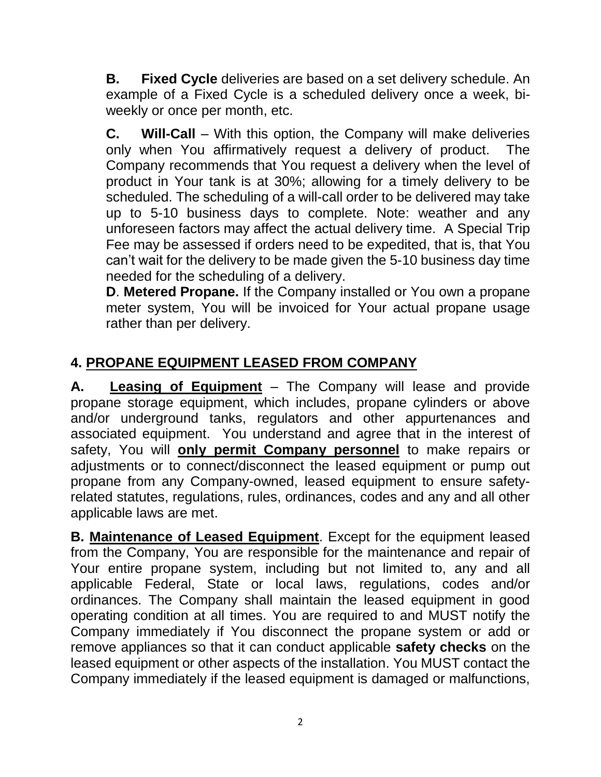**B. Fixed Cycle** deliveries are based on a set delivery schedule. An example of a Fixed Cycle is a scheduled delivery once a week, biweekly or once per month, etc.

**C. Will-Call** – With this option, the Company will make deliveries only when You affirmatively request a delivery of product. The Company recommends that You request a delivery when the level of product in Your tank is at 30%; allowing for a timely delivery to be scheduled. The scheduling of a will-call order to be delivered may take up to 5-10 business days to complete. Note: weather and any unforeseen factors may affect the actual delivery time. A Special Trip Fee may be assessed if orders need to be expedited, that is, that You can't wait for the delivery to be made given the 5-10 business day time needed for the scheduling of a delivery.

**D**. **Metered Propane.** If the Company installed or You own a propane meter system, You will be invoiced for Your actual propane usage rather than per delivery.

# **4. PROPANE EQUIPMENT LEASED FROM COMPANY**

**A. Leasing of Equipment** – The Company will lease and provide propane storage equipment, which includes, propane cylinders or above and/or underground tanks, regulators and other appurtenances and associated equipment. You understand and agree that in the interest of safety, You will **only permit Company personnel** to make repairs or adjustments or to connect/disconnect the leased equipment or pump out propane from any Company-owned, leased equipment to ensure safetyrelated statutes, regulations, rules, ordinances, codes and any and all other applicable laws are met.

**B. Maintenance of Leased Equipment**. Except for the equipment leased from the Company, You are responsible for the maintenance and repair of Your entire propane system, including but not limited to, any and all applicable Federal, State or local laws, regulations, codes and/or ordinances. The Company shall maintain the leased equipment in good operating condition at all times. You are required to and MUST notify the Company immediately if You disconnect the propane system or add or remove appliances so that it can conduct applicable **safety checks** on the leased equipment or other aspects of the installation. You MUST contact the Company immediately if the leased equipment is damaged or malfunctions,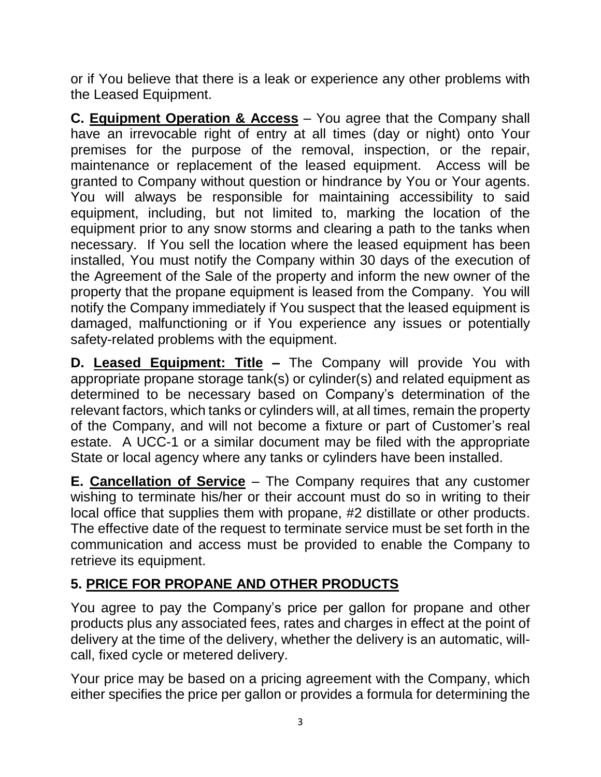or if You believe that there is a leak or experience any other problems with the Leased Equipment.

**C. Equipment Operation & Access** – You agree that the Company shall have an irrevocable right of entry at all times (day or night) onto Your premises for the purpose of the removal, inspection, or the repair, maintenance or replacement of the leased equipment. Access will be granted to Company without question or hindrance by You or Your agents. You will always be responsible for maintaining accessibility to said equipment, including, but not limited to, marking the location of the equipment prior to any snow storms and clearing a path to the tanks when necessary. If You sell the location where the leased equipment has been installed, You must notify the Company within 30 days of the execution of the Agreement of the Sale of the property and inform the new owner of the property that the propane equipment is leased from the Company. You will notify the Company immediately if You suspect that the leased equipment is damaged, malfunctioning or if You experience any issues or potentially safety-related problems with the equipment.

**D. Leased Equipment: Title –** The Company will provide You with appropriate propane storage tank(s) or cylinder(s) and related equipment as determined to be necessary based on Company's determination of the relevant factors, which tanks or cylinders will, at all times, remain the property of the Company, and will not become a fixture or part of Customer's real estate. A UCC-1 or a similar document may be filed with the appropriate State or local agency where any tanks or cylinders have been installed.

**E. Cancellation of Service** – The Company requires that any customer wishing to terminate his/her or their account must do so in writing to their local office that supplies them with propane, #2 distillate or other products. The effective date of the request to terminate service must be set forth in the communication and access must be provided to enable the Company to retrieve its equipment.

# **5. PRICE FOR PROPANE AND OTHER PRODUCTS**

You agree to pay the Company's price per gallon for propane and other products plus any associated fees, rates and charges in effect at the point of delivery at the time of the delivery, whether the delivery is an automatic, willcall, fixed cycle or metered delivery.

Your price may be based on a pricing agreement with the Company, which either specifies the price per gallon or provides a formula for determining the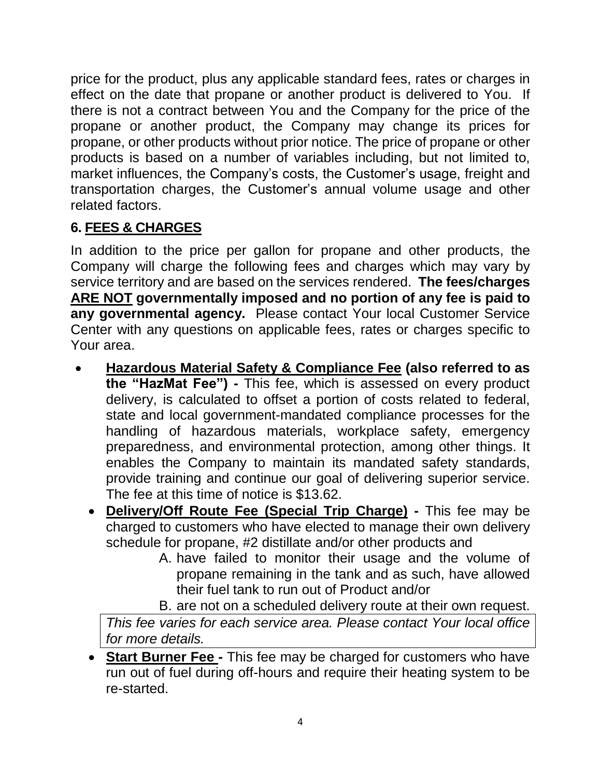price for the product, plus any applicable standard fees, rates or charges in effect on the date that propane or another product is delivered to You. If there is not a contract between You and the Company for the price of the propane or another product, the Company may change its prices for propane, or other products without prior notice. The price of propane or other products is based on a number of variables including, but not limited to, market influences, the Company's costs, the Customer's usage, freight and transportation charges, the Customer's annual volume usage and other related factors.

### **6. FEES & CHARGES**

In addition to the price per gallon for propane and other products, the Company will charge the following fees and charges which may vary by service territory and are based on the services rendered. **The fees/charges ARE NOT governmentally imposed and no portion of any fee is paid to any governmental agency.** Please contact Your local Customer Service Center with any questions on applicable fees, rates or charges specific to Your area.

- **Hazardous Material Safety & Compliance Fee (also referred to as the "HazMat Fee") -** This fee, which is assessed on every product delivery, is calculated to offset a portion of costs related to federal, state and local government-mandated compliance processes for the handling of hazardous materials, workplace safety, emergency preparedness, and environmental protection, among other things. It enables the Company to maintain its mandated safety standards, provide training and continue our goal of delivering superior service. The fee at this time of notice is \$13.62.
	- **Delivery/Off Route Fee (Special Trip Charge) -** This fee may be charged to customers who have elected to manage their own delivery schedule for propane, #2 distillate and/or other products and
		- A. have failed to monitor their usage and the volume of propane remaining in the tank and as such, have allowed their fuel tank to run out of Product and/or
		- B. are not on a scheduled delivery route at their own request.

*This fee varies for each service area. Please contact Your local office for more details.*

• **Start Burner Fee -** This fee may be charged for customers who have run out of fuel during off-hours and require their heating system to be re-started.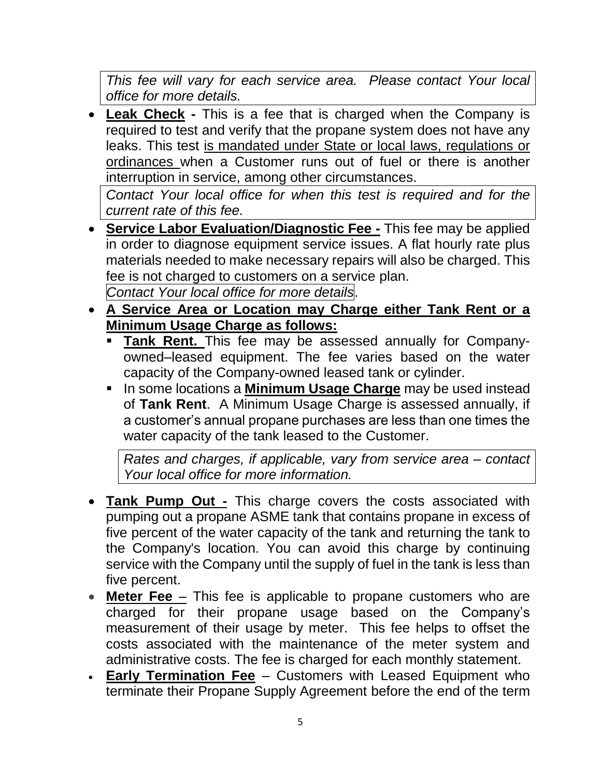*This fee will vary for each service area. Please contact Your local office for more details.*

• **Leak Check -** This is a fee that is charged when the Company is required to test and verify that the propane system does not have any leaks. This test is mandated under State or local laws, regulations or ordinances when a Customer runs out of fuel or there is another interruption in service, among other circumstances.

*Contact Your local office for when this test is required and for the current rate of this fee.*

- **Service Labor Evaluation/Diagnostic Fee -** This fee may be applied in order to diagnose equipment service issues. A flat hourly rate plus materials needed to make necessary repairs will also be charged. This fee is not charged to customers on a service plan. *Contact Your local office for more details*.
- **A Service Area or Location may Charge either Tank Rent or a Minimum Usage Charge as follows:** 
	- **Tank Rent.** This fee may be assessed annually for Companyowned–leased equipment. The fee varies based on the water capacity of the Company-owned leased tank or cylinder.
	- **EXTERCH In some locations a Minimum Usage Charge** may be used instead of **Tank Rent**. A Minimum Usage Charge is assessed annually, if a customer's annual propane purchases are less than one times the water capacity of the tank leased to the Customer.

*Rates and charges, if applicable, vary from service area – contact Your local office for more information.*

- **Tank Pump Out -** This charge covers the costs associated with pumping out a propane ASME tank that contains propane in excess of five percent of the water capacity of the tank and returning the tank to the Company's location. You can avoid this charge by continuing service with the Company until the supply of fuel in the tank is less than five percent.
- **Meter Fee** This fee is applicable to propane customers who are charged for their propane usage based on the Company's measurement of their usage by meter. This fee helps to offset the costs associated with the maintenance of the meter system and administrative costs. The fee is charged for each monthly statement.
- **Early Termination Fee** Customers with Leased Equipment who terminate their Propane Supply Agreement before the end of the term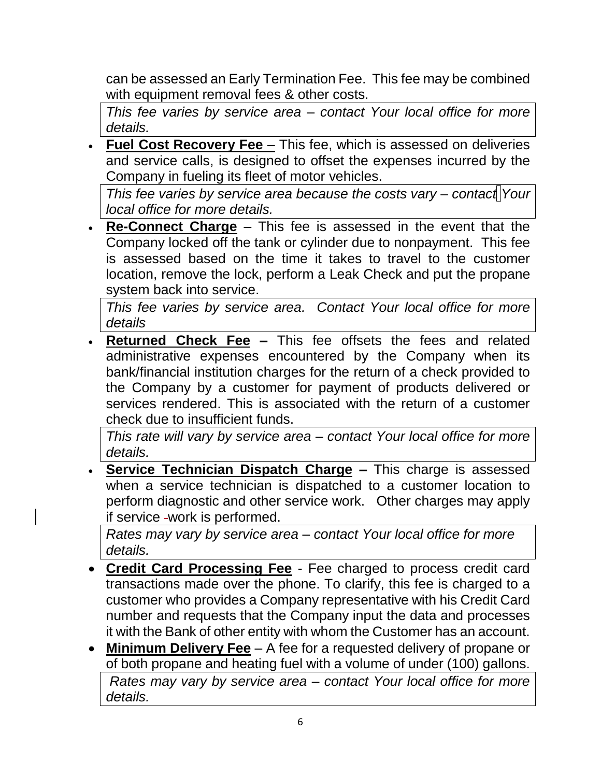can be assessed an Early Termination Fee. This fee may be combined with equipment removal fees & other costs.

*This fee varies by service area – contact Your local office for more details.*

• **Fuel Cost Recovery Fee** – This fee, which is assessed on deliveries and service calls, is designed to offset the expenses incurred by the Company in fueling its fleet of motor vehicles.

*This fee varies by service area because the costs vary – contact Your local office for more details.*

• **Re-Connect Charge** – This fee is assessed in the event that the Company locked off the tank or cylinder due to nonpayment. This fee is assessed based on the time it takes to travel to the customer location, remove the lock, perform a Leak Check and put the propane system back into service.

*This fee varies by service area. Contact Your local office for more details*

• **Returned Check Fee –** This fee offsets the fees and related administrative expenses encountered by the Company when its bank/financial institution charges for the return of a check provided to the Company by a customer for payment of products delivered or services rendered. This is associated with the return of a customer check due to insufficient funds.

*This rate will vary by service area – contact Your local office for more details.* 

• **Service Technician Dispatch Charge –** This charge is assessed when a service technician is dispatched to a customer location to perform diagnostic and other service work. Other charges may apply if service work is performed.

*Rates may vary by service area – contact Your local office for more details.* 

- **Credit Card Processing Fee** Fee charged to process credit card transactions made over the phone. To clarify, this fee is charged to a customer who provides a Company representative with his Credit Card number and requests that the Company input the data and processes it with the Bank of other entity with whom the Customer has an account.
- **Minimum Delivery Fee** A fee for a requested delivery of propane or of both propane and heating fuel with a volume of under (100) gallons. *Rates may vary by service area – contact Your local office for more details.*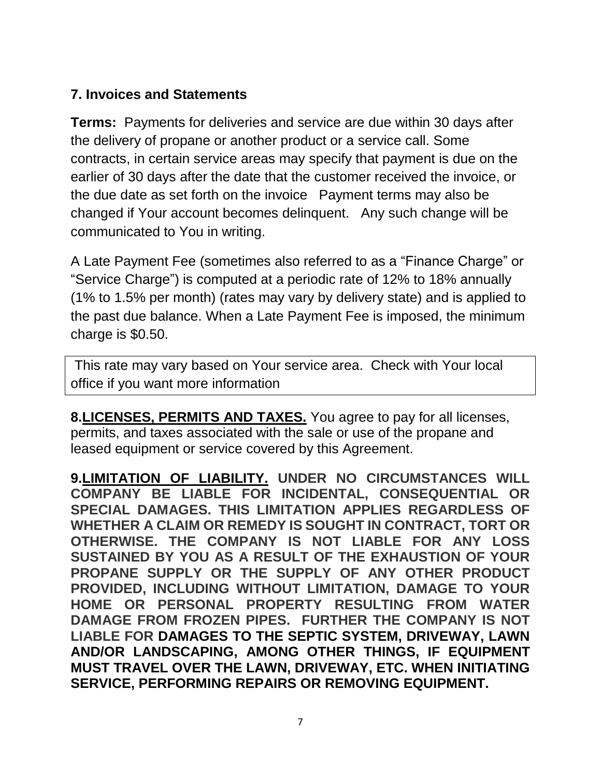#### **7. Invoices and Statements**

**Terms:** Payments for deliveries and service are due within 30 days after the delivery of propane or another product or a service call. Some contracts, in certain service areas may specify that payment is due on the earlier of 30 days after the date that the customer received the invoice, or the due date as set forth on the invoice Payment terms may also be changed if Your account becomes delinquent. Any such change will be communicated to You in writing.

A Late Payment Fee (sometimes also referred to as a "Finance Charge" or "Service Charge") is computed at a periodic rate of 12% to 18% annually (1% to 1.5% per month) (rates may vary by delivery state) and is applied to the past due balance. When a Late Payment Fee is imposed, the minimum charge is \$0.50.

This rate may vary based on Your service area. Check with Your local office if you want more information

**8.LICENSES, PERMITS AND TAXES.** You agree to pay for all licenses, permits, and taxes associated with the sale or use of the propane and leased equipment or service covered by this Agreement.

**9.LIMITATION OF LIABILITY. UNDER NO CIRCUMSTANCES WILL COMPANY BE LIABLE FOR INCIDENTAL, CONSEQUENTIAL OR SPECIAL DAMAGES. THIS LIMITATION APPLIES REGARDLESS OF WHETHER A CLAIM OR REMEDY IS SOUGHT IN CONTRACT, TORT OR OTHERWISE. THE COMPANY IS NOT LIABLE FOR ANY LOSS SUSTAINED BY YOU AS A RESULT OF THE EXHAUSTION OF YOUR PROPANE SUPPLY OR THE SUPPLY OF ANY OTHER PRODUCT PROVIDED, INCLUDING WITHOUT LIMITATION, DAMAGE TO YOUR HOME OR PERSONAL PROPERTY RESULTING FROM WATER DAMAGE FROM FROZEN PIPES. FURTHER THE COMPANY IS NOT LIABLE FOR DAMAGES TO THE SEPTIC SYSTEM, DRIVEWAY, LAWN AND/OR LANDSCAPING, AMONG OTHER THINGS, IF EQUIPMENT MUST TRAVEL OVER THE LAWN, DRIVEWAY, ETC. WHEN INITIATING SERVICE, PERFORMING REPAIRS OR REMOVING EQUIPMENT.**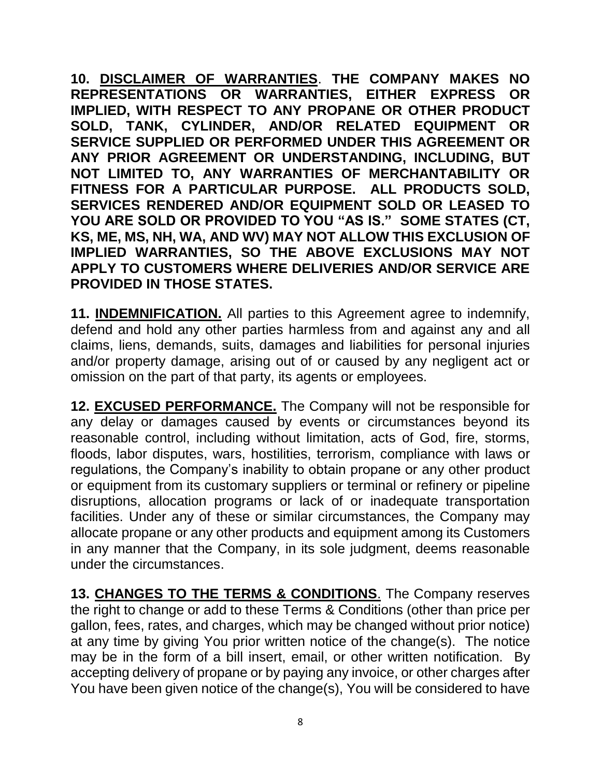**10. DISCLAIMER OF WARRANTIES**. **THE COMPANY MAKES NO REPRESENTATIONS OR WARRANTIES, EITHER EXPRESS OR IMPLIED, WITH RESPECT TO ANY PROPANE OR OTHER PRODUCT SOLD, TANK, CYLINDER, AND/OR RELATED EQUIPMENT OR SERVICE SUPPLIED OR PERFORMED UNDER THIS AGREEMENT OR ANY PRIOR AGREEMENT OR UNDERSTANDING, INCLUDING, BUT NOT LIMITED TO, ANY WARRANTIES OF MERCHANTABILITY OR FITNESS FOR A PARTICULAR PURPOSE. ALL PRODUCTS SOLD, SERVICES RENDERED AND/OR EQUIPMENT SOLD OR LEASED TO YOU ARE SOLD OR PROVIDED TO YOU "AS IS." SOME STATES (CT, KS, ME, MS, NH, WA, AND WV) MAY NOT ALLOW THIS EXCLUSION OF IMPLIED WARRANTIES, SO THE ABOVE EXCLUSIONS MAY NOT APPLY TO CUSTOMERS WHERE DELIVERIES AND/OR SERVICE ARE PROVIDED IN THOSE STATES.**

**11. INDEMNIFICATION.** All parties to this Agreement agree to indemnify, defend and hold any other parties harmless from and against any and all claims, liens, demands, suits, damages and liabilities for personal injuries and/or property damage, arising out of or caused by any negligent act or omission on the part of that party, its agents or employees.

**12. EXCUSED PERFORMANCE.** The Company will not be responsible for any delay or damages caused by events or circumstances beyond its reasonable control, including without limitation, acts of God, fire, storms, floods, labor disputes, wars, hostilities, terrorism, compliance with laws or regulations, the Company's inability to obtain propane or any other product or equipment from its customary suppliers or terminal or refinery or pipeline disruptions, allocation programs or lack of or inadequate transportation facilities. Under any of these or similar circumstances, the Company may allocate propane or any other products and equipment among its Customers in any manner that the Company, in its sole judgment, deems reasonable under the circumstances.

**13. CHANGES TO THE TERMS & CONDITIONS**. The Company reserves the right to change or add to these Terms & Conditions (other than price per gallon, fees, rates, and charges, which may be changed without prior notice) at any time by giving You prior written notice of the change(s). The notice may be in the form of a bill insert, email, or other written notification. By accepting delivery of propane or by paying any invoice, or other charges after You have been given notice of the change(s), You will be considered to have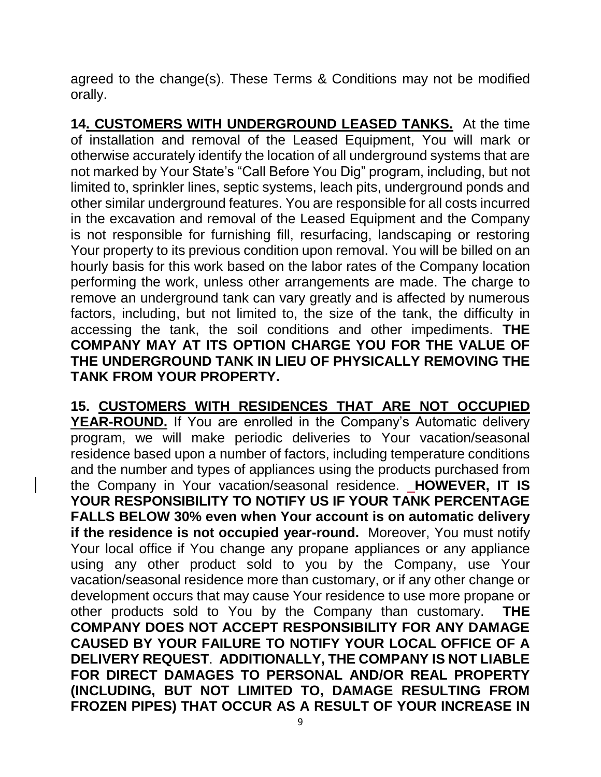agreed to the change(s). These Terms & Conditions may not be modified orally.

**14. CUSTOMERS WITH UNDERGROUND LEASED TANKS.** At the time of installation and removal of the Leased Equipment, You will mark or otherwise accurately identify the location of all underground systems that are not marked by Your State's "Call Before You Dig" program, including, but not limited to, sprinkler lines, septic systems, leach pits, underground ponds and other similar underground features. You are responsible for all costs incurred in the excavation and removal of the Leased Equipment and the Company is not responsible for furnishing fill, resurfacing, landscaping or restoring Your property to its previous condition upon removal. You will be billed on an hourly basis for this work based on the labor rates of the Company location performing the work, unless other arrangements are made. The charge to remove an underground tank can vary greatly and is affected by numerous factors, including, but not limited to, the size of the tank, the difficulty in accessing the tank, the soil conditions and other impediments. **THE COMPANY MAY AT ITS OPTION CHARGE YOU FOR THE VALUE OF THE UNDERGROUND TANK IN LIEU OF PHYSICALLY REMOVING THE TANK FROM YOUR PROPERTY.**

**15. CUSTOMERS WITH RESIDENCES THAT ARE NOT OCCUPIED YEAR-ROUND.** If You are enrolled in the Company's Automatic delivery program, we will make periodic deliveries to Your vacation/seasonal residence based upon a number of factors, including temperature conditions and the number and types of appliances using the products purchased from the Company in Your vacation/seasonal residence. **HOWEVER, IT IS YOUR RESPONSIBILITY TO NOTIFY US IF YOUR TANK PERCENTAGE FALLS BELOW 30% even when Your account is on automatic delivery if the residence is not occupied year-round.** Moreover, You must notify Your local office if You change any propane appliances or any appliance using any other product sold to you by the Company, use Your vacation/seasonal residence more than customary, or if any other change or development occurs that may cause Your residence to use more propane or other products sold to You by the Company than customary. **THE COMPANY DOES NOT ACCEPT RESPONSIBILITY FOR ANY DAMAGE CAUSED BY YOUR FAILURE TO NOTIFY YOUR LOCAL OFFICE OF A DELIVERY REQUEST**. **ADDITIONALLY, THE COMPANY IS NOT LIABLE FOR DIRECT DAMAGES TO PERSONAL AND/OR REAL PROPERTY (INCLUDING, BUT NOT LIMITED TO, DAMAGE RESULTING FROM FROZEN PIPES) THAT OCCUR AS A RESULT OF YOUR INCREASE IN**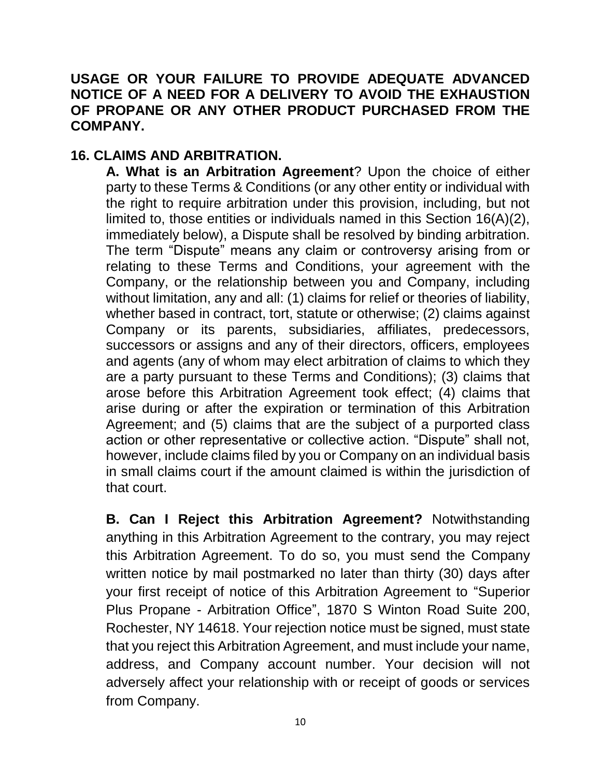#### **USAGE OR YOUR FAILURE TO PROVIDE ADEQUATE ADVANCED NOTICE OF A NEED FOR A DELIVERY TO AVOID THE EXHAUSTION OF PROPANE OR ANY OTHER PRODUCT PURCHASED FROM THE COMPANY.**

#### **16. CLAIMS AND ARBITRATION.**

**A. What is an Arbitration Agreement**? Upon the choice of either party to these Terms & Conditions (or any other entity or individual with the right to require arbitration under this provision, including, but not limited to, those entities or individuals named in this Section 16(A)(2), immediately below), a Dispute shall be resolved by binding arbitration. The term "Dispute" means any claim or controversy arising from or relating to these Terms and Conditions, your agreement with the Company, or the relationship between you and Company, including without limitation, any and all: (1) claims for relief or theories of liability, whether based in contract, tort, statute or otherwise; (2) claims against Company or its parents, subsidiaries, affiliates, predecessors, successors or assigns and any of their directors, officers, employees and agents (any of whom may elect arbitration of claims to which they are a party pursuant to these Terms and Conditions); (3) claims that arose before this Arbitration Agreement took effect; (4) claims that arise during or after the expiration or termination of this Arbitration Agreement; and (5) claims that are the subject of a purported class action or other representative or collective action. "Dispute" shall not, however, include claims filed by you or Company on an individual basis in small claims court if the amount claimed is within the jurisdiction of that court.

**B. Can I Reject this Arbitration Agreement?** Notwithstanding anything in this Arbitration Agreement to the contrary, you may reject this Arbitration Agreement. To do so, you must send the Company written notice by mail postmarked no later than thirty (30) days after your first receipt of notice of this Arbitration Agreement to "Superior Plus Propane - Arbitration Office", 1870 S Winton Road Suite 200, Rochester, NY 14618. Your rejection notice must be signed, must state that you reject this Arbitration Agreement, and must include your name, address, and Company account number. Your decision will not adversely affect your relationship with or receipt of goods or services from Company.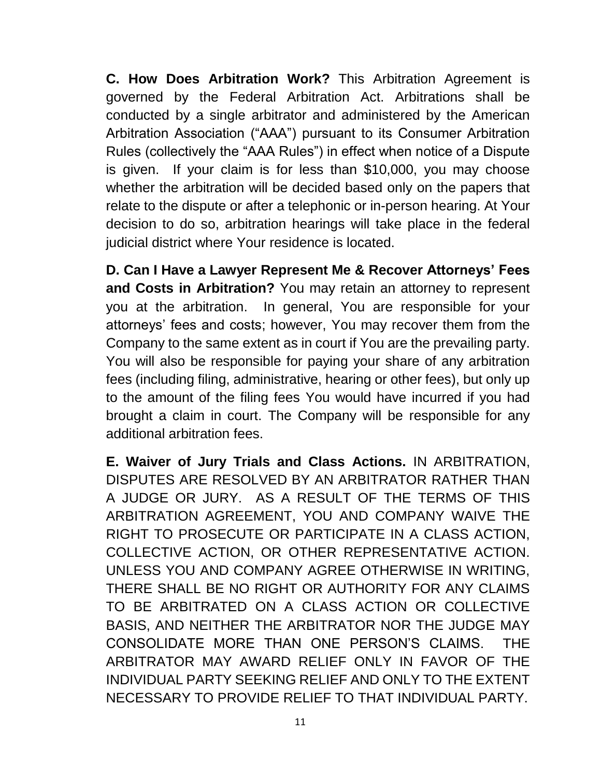**C. How Does Arbitration Work?** This Arbitration Agreement is governed by the Federal Arbitration Act. Arbitrations shall be conducted by a single arbitrator and administered by the American Arbitration Association ("AAA") pursuant to its Consumer Arbitration Rules (collectively the "AAA Rules") in effect when notice of a Dispute is given. If your claim is for less than \$10,000, you may choose whether the arbitration will be decided based only on the papers that relate to the dispute or after a telephonic or in-person hearing. At Your decision to do so, arbitration hearings will take place in the federal judicial district where Your residence is located.

**D. Can I Have a Lawyer Represent Me & Recover Attorneys' Fees and Costs in Arbitration?** You may retain an attorney to represent you at the arbitration. In general, You are responsible for your attorneys' fees and costs; however, You may recover them from the Company to the same extent as in court if You are the prevailing party. You will also be responsible for paying your share of any arbitration fees (including filing, administrative, hearing or other fees), but only up to the amount of the filing fees You would have incurred if you had brought a claim in court. The Company will be responsible for any additional arbitration fees.

**E. Waiver of Jury Trials and Class Actions.** IN ARBITRATION, DISPUTES ARE RESOLVED BY AN ARBITRATOR RATHER THAN A JUDGE OR JURY. AS A RESULT OF THE TERMS OF THIS ARBITRATION AGREEMENT, YOU AND COMPANY WAIVE THE RIGHT TO PROSECUTE OR PARTICIPATE IN A CLASS ACTION, COLLECTIVE ACTION, OR OTHER REPRESENTATIVE ACTION. UNLESS YOU AND COMPANY AGREE OTHERWISE IN WRITING, THERE SHALL BE NO RIGHT OR AUTHORITY FOR ANY CLAIMS TO BE ARBITRATED ON A CLASS ACTION OR COLLECTIVE BASIS, AND NEITHER THE ARBITRATOR NOR THE JUDGE MAY CONSOLIDATE MORE THAN ONE PERSON'S CLAIMS. THE ARBITRATOR MAY AWARD RELIEF ONLY IN FAVOR OF THE INDIVIDUAL PARTY SEEKING RELIEF AND ONLY TO THE EXTENT NECESSARY TO PROVIDE RELIEF TO THAT INDIVIDUAL PARTY.